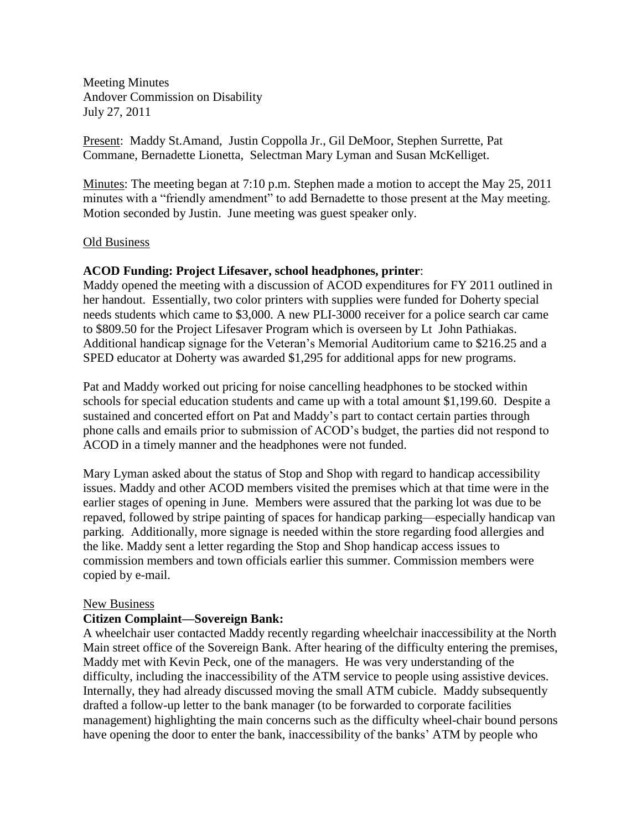Meeting Minutes Andover Commission on Disability July 27, 2011

Present: Maddy St.Amand, Justin Coppolla Jr., Gil DeMoor, Stephen Surrette, Pat Commane, Bernadette Lionetta, Selectman Mary Lyman and Susan McKelliget.

Minutes: The meeting began at 7:10 p.m. Stephen made a motion to accept the May 25, 2011 minutes with a "friendly amendment" to add Bernadette to those present at the May meeting. Motion seconded by Justin. June meeting was guest speaker only.

### Old Business

## **ACOD Funding: Project Lifesaver, school headphones, printer**:

Maddy opened the meeting with a discussion of ACOD expenditures for FY 2011 outlined in her handout. Essentially, two color printers with supplies were funded for Doherty special needs students which came to \$3,000. A new PLI-3000 receiver for a police search car came to \$809.50 for the Project Lifesaver Program which is overseen by Lt John Pathiakas. Additional handicap signage for the Veteran's Memorial Auditorium came to \$216.25 and a SPED educator at Doherty was awarded \$1,295 for additional apps for new programs.

Pat and Maddy worked out pricing for noise cancelling headphones to be stocked within schools for special education students and came up with a total amount \$1,199.60. Despite a sustained and concerted effort on Pat and Maddy's part to contact certain parties through phone calls and emails prior to submission of ACOD's budget, the parties did not respond to ACOD in a timely manner and the headphones were not funded.

Mary Lyman asked about the status of Stop and Shop with regard to handicap accessibility issues. Maddy and other ACOD members visited the premises which at that time were in the earlier stages of opening in June. Members were assured that the parking lot was due to be repaved, followed by stripe painting of spaces for handicap parking—especially handicap van parking. Additionally, more signage is needed within the store regarding food allergies and the like. Maddy sent a letter regarding the Stop and Shop handicap access issues to commission members and town officials earlier this summer. Commission members were copied by e-mail.

#### New Business

## **Citizen Complaint—Sovereign Bank:**

A wheelchair user contacted Maddy recently regarding wheelchair inaccessibility at the North Main street office of the Sovereign Bank. After hearing of the difficulty entering the premises, Maddy met with Kevin Peck, one of the managers. He was very understanding of the difficulty, including the inaccessibility of the ATM service to people using assistive devices. Internally, they had already discussed moving the small ATM cubicle. Maddy subsequently drafted a follow-up letter to the bank manager (to be forwarded to corporate facilities management) highlighting the main concerns such as the difficulty wheel-chair bound persons have opening the door to enter the bank, inaccessibility of the banks' ATM by people who